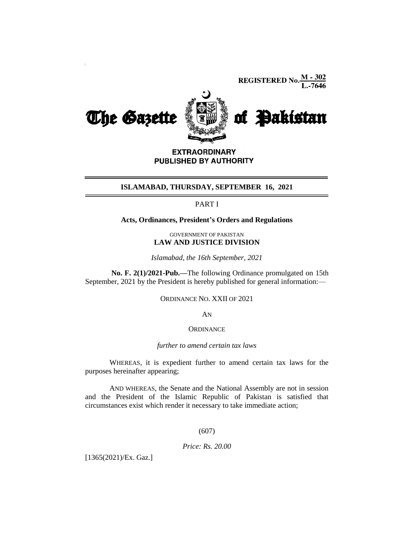**REGISTERED No.**  $\frac{M - 302}{L - 7646}$ 



**EXTRAORDINARY** PUBLISHED BY AUTHORITY

#### **ISLAMABAD, THURSDAY, SEPTEMBER 16, 2021**

# PART I

### **Acts, Ordinances, President's Orders and Regulations**

GOVERNMENT OF PAKISTAN **LAW AND JUSTICE DIVISION**

*Islamabad, the 16th September, 2021*

**No. F. 2(1)/2021-Pub.—**The following Ordinance promulgated on 15th September, 2021 by the President is hereby published for general information:—

ORDINANCE NO. XXII OF 2021

AN

#### **ORDINANCE**

#### *further to amend certain tax laws*

WHEREAS, it is expedient further to amend certain tax laws for the purposes hereinafter appearing;

AND WHEREAS, the Senate and the National Assembly are not in session and the President of the Islamic Republic of Pakistan is satisfied that circumstances exist which render it necessary to take immediate action;

## (607)

*Price: Rs. 20.00*

[1365(2021)/Ex. Gaz.]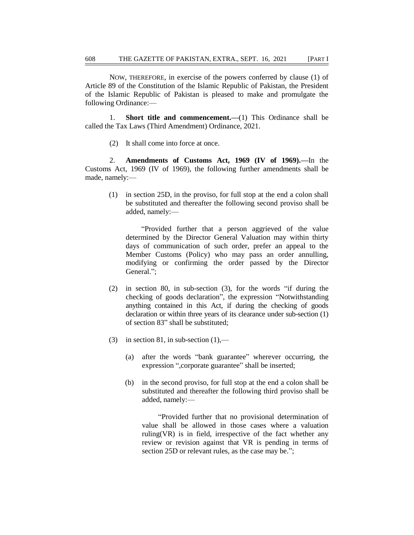NOW, THEREFORE, in exercise of the powers conferred by clause (1) of Article 89 of the Constitution of the Islamic Republic of Pakistan, the President of the Islamic Republic of Pakistan is pleased to make and promulgate the following Ordinance:—

1. **Short title and commencement.—**(1) This Ordinance shall be called the Tax Laws (Third Amendment) Ordinance, 2021.

(2) It shall come into force at once.

2. **Amendments of Customs Act, 1969 (IV of 1969).—**In the Customs Act, 1969 (IV of 1969), the following further amendments shall be made, namely:—

(1) in section 25D, in the proviso, for full stop at the end a colon shall be substituted and thereafter the following second proviso shall be added, namely:—

 ―Provided further that a person aggrieved of the value determined by the Director General Valuation may within thirty days of communication of such order, prefer an appeal to the Member Customs (Policy) who may pass an order annulling, modifying or confirming the order passed by the Director General.";

- $(2)$  in section 80, in sub-section  $(3)$ , for the words "if during the checking of goods declaration", the expression "Notwithstanding anything contained in this Act, if during the checking of goods declaration or within three years of its clearance under sub-section (1) of section 83" shall be substituted:
- (3) in section 81, in sub-section  $(1)$ ,—
	- (a) after the words "bank guarantee" wherever occurring, the expression ",corporate guarantee" shall be inserted;
	- (b) in the second proviso, for full stop at the end a colon shall be substituted and thereafter the following third proviso shall be added, namely:—

―Provided further that no provisional determination of value shall be allowed in those cases where a valuation ruling(VR) is in field, irrespective of the fact whether any review or revision against that VR is pending in terms of section 25D or relevant rules, as the case may be.";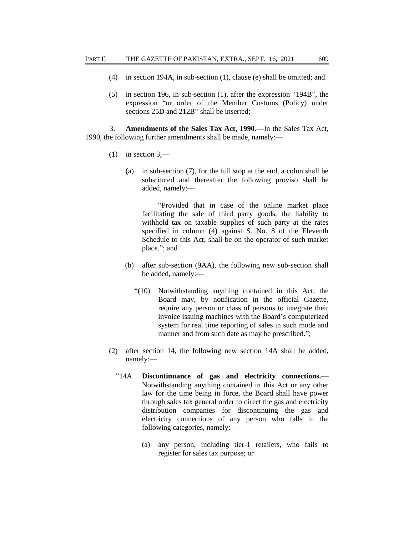- (4) in section 194A, in sub-section (1), clause (e) shall be omitted; and
- $(5)$  in section 196, in sub-section (1), after the expression "194B", the expression "or order of the Member Customs (Policy) under sections 25D and 212B" shall be inserted;

3. **Amendments of the Sales Tax Act, 1990.—**In the Sales Tax Act, 1990, the following further amendments shall be made, namely:—

- $(1)$  in section 3,—
	- (a) in sub-section (7), for the full stop at the end, a colon shall be substituted and thereafter the following proviso shall be added, namely:—

―Provided that in case of the online market place facilitating the sale of third party goods, the liability to withhold tax on taxable supplies of such party at the rates specified in column (4) against S. No. 8 of the Eleventh Schedule to this Act, shall be on the operator of such market place."; and

- (b) after sub-section (9AA), the following new sub-section shall be added, namely:—
	- ―(10) Notwithstanding anything contained in this Act, the Board may, by notification in the official Gazette, require any person or class of persons to integrate their invoice issuing machines with the Board's computerized system for real time reporting of sales in such mode and manner and from such date as may be prescribed.";
- (2) after section 14, the following new section 14A shall be added, namely:—
	- ―14A. **Discontinuance of gas and electricity connections.—** Notwithstanding anything contained in this Act or any other law for the time being in force, the Board shall have power through sales tax general order to direct the gas and electricity distribution companies for discontinuing the gas and electricity connections of any person who falls in the following categories, namely:—
		- (a) any person, including tier-1 retailers, who fails to register for sales tax purpose; or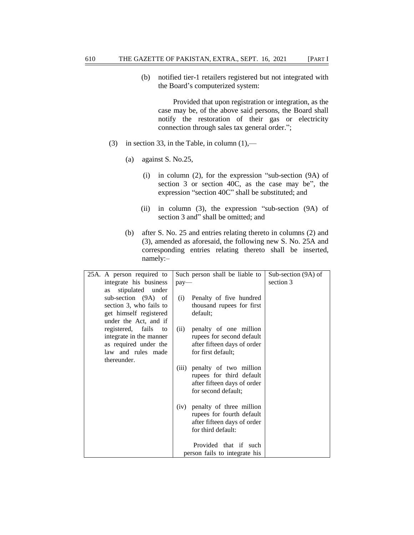(b) notified tier-1 retailers registered but not integrated with the Board's computerized system:

 Provided that upon registration or integration, as the case may be, of the above said persons, the Board shall notify the restoration of their gas or electricity connection through sales tax general order.";

- (3) in section 33, in the Table, in column  $(1)$ ,—
	- (a) against S. No.25,
		- (i) in column (2), for the expression "sub-section  $(9A)$  of section  $3$  or section  $40C$ , as the case may be", the expression "section 40C" shall be substituted; and
		- (ii) in column  $(3)$ , the expression "sub-section  $(9A)$  of section 3 and" shall be omitted; and
	- (b) after S. No. 25 and entries relating thereto in columns (2) and (3), amended as aforesaid, the following new S. No. 25A and corresponding entries relating thereto shall be inserted, namely:–

| 25A. A person required to | Such person shall be liable to                                | Sub-section (9A) of |
|---------------------------|---------------------------------------------------------------|---------------------|
| integrate his business    | $pay-$                                                        | section 3           |
| stipulated under<br>as    |                                                               |                     |
| sub-section (9A) of       | Penalty of five hundred<br>(i)                                |                     |
| section 3, who fails to   | thousand rupees for first                                     |                     |
| get himself registered    | default;                                                      |                     |
| under the Act, and if     |                                                               |                     |
| registered, fails to      | penalty of one million<br>(ii)                                |                     |
| integrate in the manner   | rupees for second default                                     |                     |
| as required under the     | after fifteen days of order                                   |                     |
| law and rules made        | for first default;                                            |                     |
| thereunder.               |                                                               |                     |
|                           | penalty of two million<br>(iii)                               |                     |
|                           | rupees for third default                                      |                     |
|                           | after fifteen days of order                                   |                     |
|                           | for second default;                                           |                     |
|                           |                                                               |                     |
|                           | penalty of three million<br>(iv)<br>rupees for fourth default |                     |
|                           | after fifteen days of order                                   |                     |
|                           | for third default:                                            |                     |
|                           |                                                               |                     |
|                           | Provided that if such                                         |                     |
|                           | person fails to integrate his                                 |                     |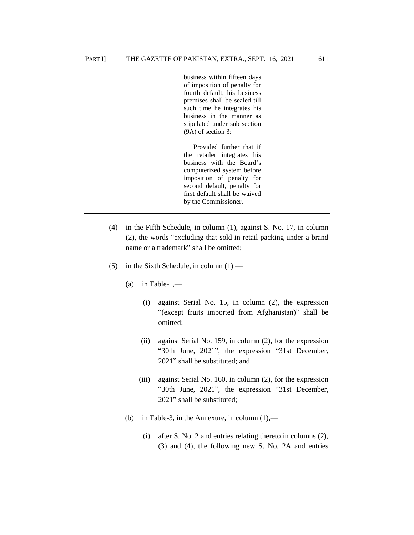| business within fifteen days<br>of imposition of penalty for<br>fourth default, his business<br>premises shall be sealed till<br>such time he integrates his<br>business in the manner as<br>stipulated under sub section<br>$(9A)$ of section 3: |  |
|---------------------------------------------------------------------------------------------------------------------------------------------------------------------------------------------------------------------------------------------------|--|
| Provided further that if<br>the retailer integrates his<br>business with the Board's<br>computerized system before<br>imposition of penalty for<br>second default, penalty for<br>first default shall be waived<br>by the Commissioner.           |  |

- (4) in the Fifth Schedule, in column (1), against S. No. 17, in column (2), the words "excluding that sold in retail packing under a brand name or a trademark" shall be omitted;
- (5) in the Sixth Schedule, in column  $(1)$ 
	- (a) in Table-1,—
		- (i) against Serial No. 15, in column (2), the expression "(except fruits imported from Afghanistan)" shall be omitted;
		- (ii) against Serial No. 159, in column (2), for the expression "30th June, 2021", the expression "31st December, 2021" shall be substituted; and
		- (iii) against Serial No. 160, in column (2), for the expression "30th June, 2021", the expression "31st December, 2021" shall be substituted;
	- (b) in Table-3, in the Annexure, in column  $(1)$ ,—
		- (i) after S. No. 2 and entries relating thereto in columns (2), (3) and (4), the following new S. No. 2A and entries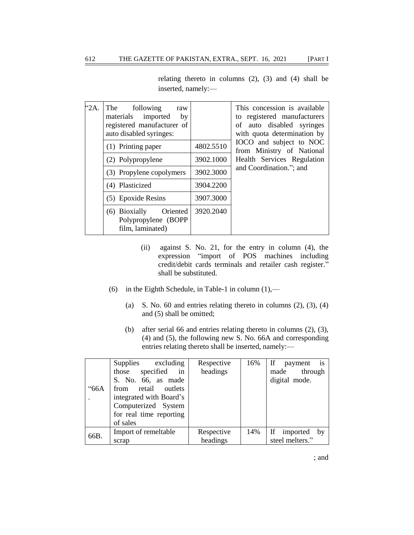relating thereto in columns (2), (3) and (4) shall be inserted, namely:—

| "2A. | following<br>The<br>raw<br>materials imported<br>by<br>registered manufacturer of<br>auto disabled syringes: |           | This concession is available<br>to registered manufacturers<br>of auto disabled syringes<br>with quota determination by |
|------|--------------------------------------------------------------------------------------------------------------|-----------|-------------------------------------------------------------------------------------------------------------------------|
|      | (1) Printing paper                                                                                           | 4802.5510 | IOCO and subject to NOC<br>from Ministry of National                                                                    |
|      | (2) Polypropylene                                                                                            | 3902.1000 | Health Services Regulation                                                                                              |
|      | (3) Propylene copolymers                                                                                     | 3902.3000 | and Coordination."; and                                                                                                 |
|      | (4) Plasticized                                                                                              | 3904.2200 |                                                                                                                         |
|      | (5) Epoxide Resins                                                                                           | 3907.3000 |                                                                                                                         |
|      | (6) Bioxially<br>Oriented<br>Polypropylene (BOPP<br>film, laminated)                                         | 3920.2040 |                                                                                                                         |

- (ii) against S. No. 21, for the entry in column (4), the expression "import of POS machines including credit/debit cards terminals and retailer cash register." shall be substituted.
- (6) in the Eighth Schedule, in Table-1 in column  $(1)$ ,—
	- (a) S. No. 60 and entries relating thereto in columns  $(2)$ ,  $(3)$ ,  $(4)$ and (5) shall be omitted;
	- (b) after serial 66 and entries relating thereto in columns (2), (3), (4) and (5), the following new S. No. 66A and corresponding entries relating thereto shall be inserted, namely:—

|      | Supplies excluding      | Respective | 16% | If payment<br>1s  |
|------|-------------------------|------------|-----|-------------------|
|      | those specified<br>in   | headings   |     | made through      |
|      | S. No. 66, as made      |            |     | digital mode.     |
| "66A | from retail outlets     |            |     |                   |
|      | integrated with Board's |            |     |                   |
|      | Computerized System     |            |     |                   |
|      | for real time reporting |            |     |                   |
|      | of sales                |            |     |                   |
|      | Import of remeltable    | Respective | 14% | If imported<br>by |
| 66B. | scrap                   | headings   |     | steel melters."   |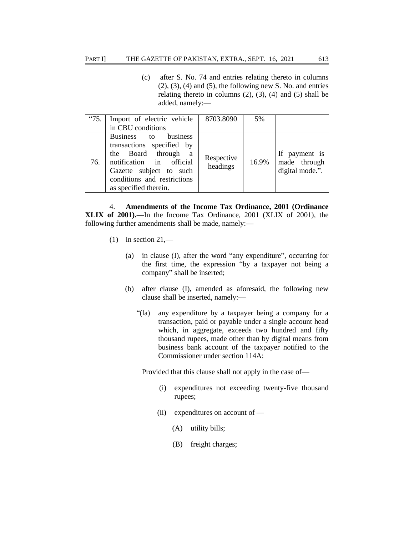(c) after S. No. 74 and entries relating thereto in columns  $(2)$ ,  $(3)$ ,  $(4)$  and  $(5)$ , the following new S. No. and entries relating thereto in columns  $(2)$ ,  $(3)$ ,  $(4)$  and  $(5)$  shall be added, namely:—

| "75. | Import of electric vehicle                                                                                                                                                              | 8703.8090              | 5%    |                                                  |
|------|-----------------------------------------------------------------------------------------------------------------------------------------------------------------------------------------|------------------------|-------|--------------------------------------------------|
|      | in CBU conditions                                                                                                                                                                       |                        |       |                                                  |
| 76.  | Business to business<br>transactions specified by<br>the Board through a<br>notification in official<br>Gazette subject to such<br>conditions and restrictions<br>as specified therein. | Respective<br>headings | 16.9% | If payment is<br>made through<br>digital mode.". |

4. **Amendments of the Income Tax Ordinance, 2001 (Ordinance XLIX of 2001).—**In the Income Tax Ordinance, 2001 (XLIX of 2001), the following further amendments shall be made, namely:—

- (1) in section  $21$ ,—
	- (a) in clause  $(I)$ , after the word "any expenditure", occurring for the first time, the expression "by a taxpayer not being a company" shall be inserted;
	- (b) after clause (I), amended as aforesaid, the following new clause shall be inserted, namely:—
		- ―(la) any expenditure by a taxpayer being a company for a transaction, paid or payable under a single account head which, in aggregate, exceeds two hundred and fifty thousand rupees, made other than by digital means from business bank account of the taxpayer notified to the Commissioner under section 114A:

Provided that this clause shall not apply in the case of—

- (i) expenditures not exceeding twenty-five thousand rupees;
- (ii) expenditures on account of
	- (A) utility bills;
	- (B) freight charges;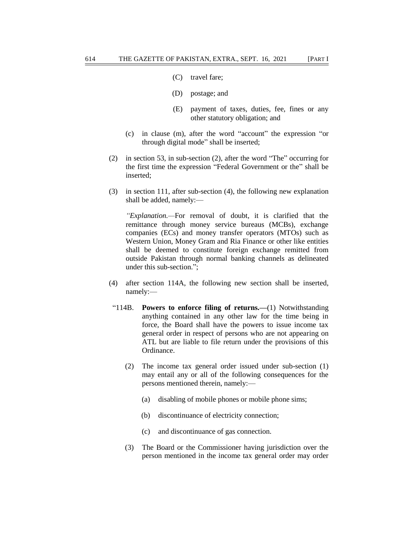- (C) travel fare;
- (D) postage; and
- (E) payment of taxes, duties, fee, fines or any other statutory obligation; and
- $(c)$  in clause (m), after the word "account" the expression "or through digital mode" shall be inserted;
- (2) in section 53, in sub-section (2), after the word "The" occurring for the first time the expression "Federal Government or the" shall be inserted;
- (3) in section 111, after sub-section (4), the following new explanation shall be added, namely:—

*"Explanation.—*For removal of doubt, it is clarified that the remittance through money service bureaus (MCBs), exchange companies (ECs) and money transfer operators (MTOs) such as Western Union, Money Gram and Ria Finance or other like entities shall be deemed to constitute foreign exchange remitted from outside Pakistan through normal banking channels as delineated under this sub-section.";

- (4) after section 114A, the following new section shall be inserted, namely:—
- ―114B. **Powers to enforce filing of returns.—**(1) Notwithstanding anything contained in any other law for the time being in force, the Board shall have the powers to issue income tax general order in respect of persons who are not appearing on ATL but are liable to file return under the provisions of this Ordinance.
	- (2) The income tax general order issued under sub-section (1) may entail any or all of the following consequences for the persons mentioned therein, namely:—
		- (a) disabling of mobile phones or mobile phone sims;
		- (b) discontinuance of electricity connection;
		- (c) and discontinuance of gas connection.
	- (3) The Board or the Commissioner having jurisdiction over the person mentioned in the income tax general order may order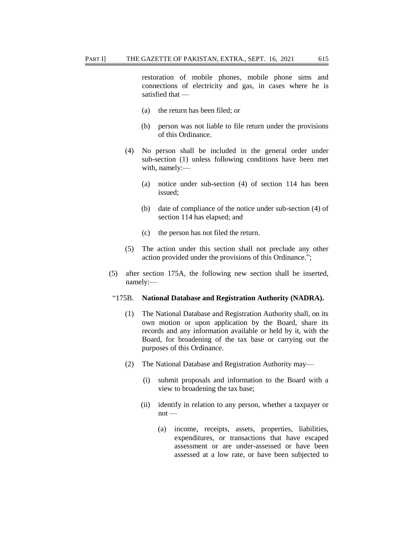restoration of mobile phones, mobile phone sims and connections of electricity and gas, in cases where he is satisfied that —

- (a) the return has been filed; or
- (b) person was not liable to file return under the provisions of this Ordinance.
- (4) No person shall be included in the general order under sub-section (1) unless following conditions have been met with, namely:—
	- (a) notice under sub-section (4) of section 114 has been issued;
	- (b) date of compliance of the notice under sub-section (4) of section 114 has elapsed; and
	- (c) the person has not filed the return.
- (5) The action under this section shall not preclude any other action provided under the provisions of this Ordinance.";
- (5) after section 175A, the following new section shall be inserted, namely:—

#### ―175B. **National Database and Registration Authority (NADRA).**

- (1) The National Database and Registration Authority shall, on its own motion or upon application by the Board, share its records and any information available or held by it, with the Board, for broadening of the tax base or carrying out the purposes of this Ordinance.
- (2) The National Database and Registration Authority may—
	- (i) submit proposals and information to the Board with a view to broadening the tax base;
	- (ii) identify in relation to any person, whether a taxpayer or not —
		- (a) income, receipts, assets, properties, liabilities, expenditures, or transactions that have escaped assessment or are under-assessed or have been assessed at a low rate, or have been subjected to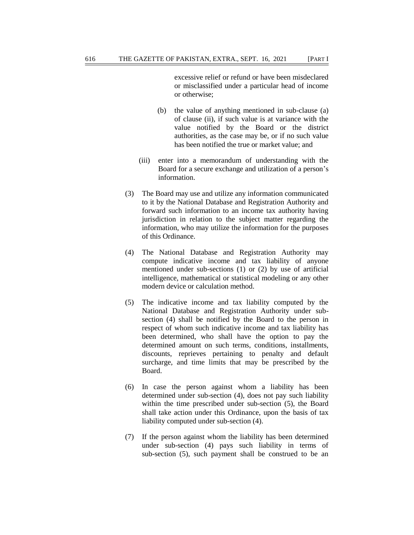excessive relief or refund or have been misdeclared or misclassified under a particular head of income or otherwise;

- (b) the value of anything mentioned in sub-clause (a) of clause (ii), if such value is at variance with the value notified by the Board or the district authorities, as the case may be, or if no such value has been notified the true or market value; and
- (iii) enter into a memorandum of understanding with the Board for a secure exchange and utilization of a person's information.
- (3) The Board may use and utilize any information communicated to it by the National Database and Registration Authority and forward such information to an income tax authority having jurisdiction in relation to the subject matter regarding the information, who may utilize the information for the purposes of this Ordinance.
- (4) The National Database and Registration Authority may compute indicative income and tax liability of anyone mentioned under sub-sections (1) or (2) by use of artificial intelligence, mathematical or statistical modeling or any other modern device or calculation method.
- (5) The indicative income and tax liability computed by the National Database and Registration Authority under subsection (4) shall be notified by the Board to the person in respect of whom such indicative income and tax liability has been determined, who shall have the option to pay the determined amount on such terms, conditions, installments, discounts, reprieves pertaining to penalty and default surcharge, and time limits that may be prescribed by the Board.
- (6) In case the person against whom a liability has been determined under sub-section (4), does not pay such liability within the time prescribed under sub-section (5), the Board shall take action under this Ordinance, upon the basis of tax liability computed under sub-section (4).
- (7) If the person against whom the liability has been determined under sub-section (4) pays such liability in terms of sub-section (5), such payment shall be construed to be an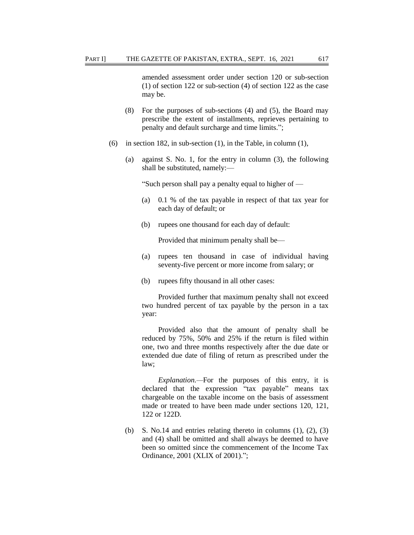amended assessment order under section 120 or sub-section (1) of section 122 or sub-section (4) of section 122 as the case may be.

- (8) For the purposes of sub-sections (4) and (5), the Board may prescribe the extent of installments, reprieves pertaining to penalty and default surcharge and time limits.";
- (6) in section 182, in sub-section  $(1)$ , in the Table, in column  $(1)$ ,
	- (a) against S. No. 1, for the entry in column (3), the following shall be substituted, namely:—

―Such person shall pay a penalty equal to higher of —

- (a) 0.1 % of the tax payable in respect of that tax year for each day of default; or
- (b) rupees one thousand for each day of default:

Provided that minimum penalty shall be—

- (a) rupees ten thousand in case of individual having seventy-five percent or more income from salary; or
- (b) rupees fifty thousand in all other cases:

Provided further that maximum penalty shall not exceed two hundred percent of tax payable by the person in a tax year:

Provided also that the amount of penalty shall be reduced by 75%, 50% and 25% if the return is filed within one, two and three months respectively after the due date or extended due date of filing of return as prescribed under the law;

*Explanation.—*For the purposes of this entry, it is declared that the expression "tax payable" means tax chargeable on the taxable income on the basis of assessment made or treated to have been made under sections 120, 121, 122 or 122D.

(b) S. No.14 and entries relating thereto in columns  $(1)$ ,  $(2)$ ,  $(3)$ and (4) shall be omitted and shall always be deemed to have been so omitted since the commencement of the Income Tax Ordinance, 2001 (XLIX of 2001).";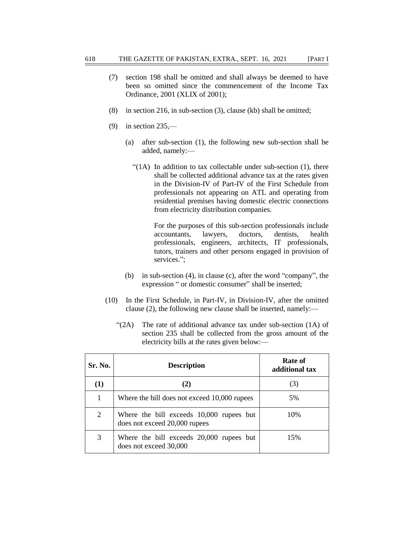- (7) section 198 shall be omitted and shall always be deemed to have been so omitted since the commencement of the Income Tax Ordinance, 2001 (XLIX of 2001);
- (8) in section 216, in sub-section (3), clause (kb) shall be omitted;
- (9) in section 235,—
	- (a) after sub-section (1), the following new sub-section shall be added, namely:—
		- " $(1A)$  In addition to tax collectable under sub-section  $(1)$ , there shall be collected additional advance tax at the rates given in the Division-IV of Part-IV of the First Schedule from professionals not appearing on ATL and operating from residential premises having domestic electric connections from electricity distribution companies.

For the purposes of this sub-section professionals include accountants, lawyers, doctors, dentists, health professionals, engineers, architects, IT professionals, tutors, trainers and other persons engaged in provision of services.":

- (b) in sub-section  $(4)$ , in clause  $(c)$ , after the word "company", the expression " or domestic consumer" shall be inserted;
- (10) In the First Schedule, in Part-IV, in Division-IV, after the omitted clause (2), the following new clause shall be inserted, namely:—
	- $\lq(2A)$  The rate of additional advance tax under sub-section (1A) of section 235 shall be collected from the gross amount of the electricity bills at the rates given below:—

| Sr. No. | <b>Description</b>                                                        | Rate of<br>additional tax |
|---------|---------------------------------------------------------------------------|---------------------------|
| (1)     |                                                                           | (3)                       |
|         | Where the bill does not exceed 10,000 rupees                              | 5%                        |
| 2       | Where the bill exceeds 10,000 rupees but<br>does not exceed 20,000 rupees | 10%                       |
| 3       | Where the bill exceeds 20,000 rupees but<br>does not exceed 30,000        | 15%                       |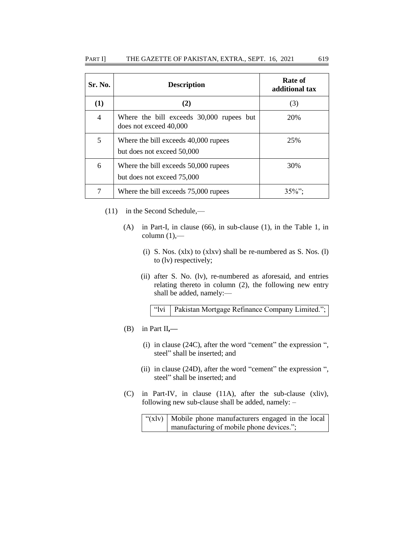| Sr. No. | <b>Description</b>                                                 | Rate of<br>additional tax |
|---------|--------------------------------------------------------------------|---------------------------|
| (1)     | (2)                                                                | (3)                       |
| 4       | Where the bill exceeds 30,000 rupees but<br>does not exceed 40,000 | 20%                       |
| 5       | Where the bill exceeds 40,000 rupees<br>but does not exceed 50,000 | 25%                       |
| 6       | Where the bill exceeds 50,000 rupees<br>but does not exceed 75,000 | 30%                       |
|         | Where the bill exceeds 75,000 rupees                               | $35\%$ "                  |

- (11) in the Second Schedule,—
	- (A) in Part-I, in clause (66), in sub-clause (1), in the Table 1, in column  $(1)$ ,—
		- (i) S. Nos. (xlx) to (xlxv) shall be re-numbered as S. Nos. (l) to (lv) respectively;
		- (ii) after S. No. (lv), re-numbered as aforesaid, and entries relating thereto in column (2), the following new entry shall be added, namely:—

"Ivi | Pakistan Mortgage Refinance Company Limited.";

- (B) in Part II**,—**
	- (i) in clause  $(24C)$ , after the word "cement" the expression ", steel" shall be inserted; and
	- (ii) in clause  $(24D)$ , after the word "cement" the expression ", steel" shall be inserted; and
- (C) in Part-IV, in clause (11A), after the sub-clause (xliv), following new sub-clause shall be added, namely: –

" $(x|v)$  Mobile phone manufacturers engaged in the local manufacturing of mobile phone devices.";